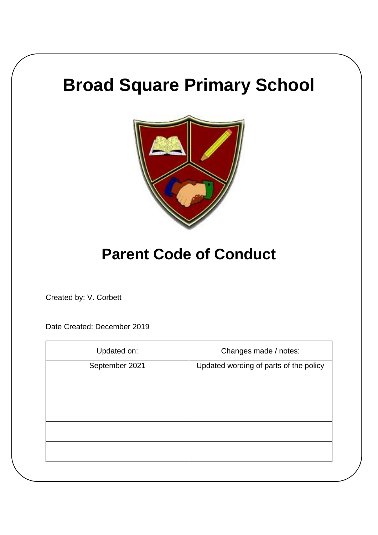# **Broad Square Primary School**



# **Parent Code of Conduct**

Created by: V. Corbett

Date Created: December 2019

| Updated on:    | Changes made / notes:                  |
|----------------|----------------------------------------|
| September 2021 | Updated wording of parts of the policy |
|                |                                        |
|                |                                        |
|                |                                        |
|                |                                        |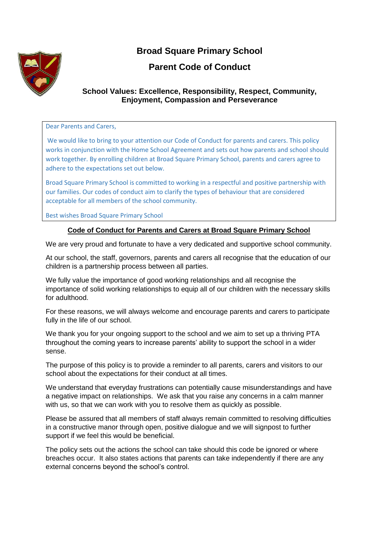

## **Broad Square Primary School**

### **Parent Code of Conduct**

#### **School Values: Excellence, Responsibility, Respect, Community, Enjoyment, Compassion and Perseverance**

#### Dear Parents and Carers,

We would like to bring to your attention our Code of Conduct for parents and carers. This policy works in conjunction with the Home School Agreement and sets out how parents and school should work together. By enrolling children at Broad Square Primary School, parents and carers agree to adhere to the expectations set out below.

Broad Square Primary School is committed to working in a respectful and positive partnership with our families. Our codes of conduct aim to clarify the types of behaviour that are considered acceptable for all members of the school community.

Best wishes Broad Square Primary School

#### **Code of Conduct for Parents and Carers at Broad Square Primary School**

We are very proud and fortunate to have a very dedicated and supportive school community.

At our school, the staff, governors, parents and carers all recognise that the education of our children is a partnership process between all parties.

We fully value the importance of good working relationships and all recognise the importance of solid working relationships to equip all of our children with the necessary skills for adulthood.

For these reasons, we will always welcome and encourage parents and carers to participate fully in the life of our school.

We thank you for your ongoing support to the school and we aim to set up a thriving PTA throughout the coming years to increase parents' ability to support the school in a wider sense.

The purpose of this policy is to provide a reminder to all parents, carers and visitors to our school about the expectations for their conduct at all times.

We understand that everyday frustrations can potentially cause misunderstandings and have a negative impact on relationships. We ask that you raise any concerns in a calm manner with us, so that we can work with you to resolve them as quickly as possible.

Please be assured that all members of staff always remain committed to resolving difficulties in a constructive manor through open, positive dialogue and we will signpost to further support if we feel this would be beneficial.

The policy sets out the actions the school can take should this code be ignored or where breaches occur. It also states actions that parents can take independently if there are any external concerns beyond the school's control.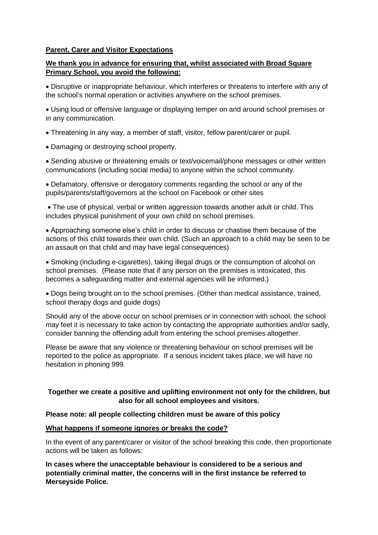#### **Parent, Carer and Visitor Expectations**

#### **We thank you in advance for ensuring that, whilst associated with Broad Square Primary School, you avoid the following:**

 Disruptive or inappropriate behaviour, which interferes or threatens to interfere with any of the school's normal operation or activities anywhere on the school premises.

 Using loud or offensive language or displaying temper on and around school premises or in any communication.

- Threatening in any way, a member of staff, visitor, fellow parent/carer or pupil.
- Damaging or destroying school property.

 Sending abusive or threatening emails or text/voicemail/phone messages or other written communications (including social media) to anyone within the school community.

 Defamatory, offensive or derogatory comments regarding the school or any of the pupils/parents/staff/governors at the school on Facebook or other sites

 The use of physical, verbal or written aggression towards another adult or child. This includes physical punishment of your own child on school premises.

 Approaching someone else's child in order to discuss or chastise them because of the actions of this child towards their own child. (Such an approach to a child may be seen to be an assault on that child and may have legal consequences)

 Smoking (including e-cigarettes), taking illegal drugs or the consumption of alcohol on school premises. (Please note that if any person on the premises is intoxicated, this becomes a safeguarding matter and external agencies will be informed.)

 Dogs being brought on to the school premises. (Other than medical assistance, trained, school therapy dogs and guide dogs)

Should any of the above occur on school premises or in connection with school, the school may feel it is necessary to take action by contacting the appropriate authorities and/or sadly, consider banning the offending adult from entering the school premises altogether.

Please be aware that any violence or threatening behaviour on school premises will be reported to the police as appropriate. If a serious incident takes place, we will have no hesitation in phoning 999.

#### **Together we create a positive and uplifting environment not only for the children, but also for all school employees and visitors.**

#### **Please note: all people collecting children must be aware of this policy**

#### **What happens if someone ignores or breaks the code?**

In the event of any parent/carer or visitor of the school breaking this code, then proportionate actions will be taken as follows:

**In cases where the unacceptable behaviour is considered to be a serious and potentially criminal matter, the concerns will in the first instance be referred to Merseyside Police.**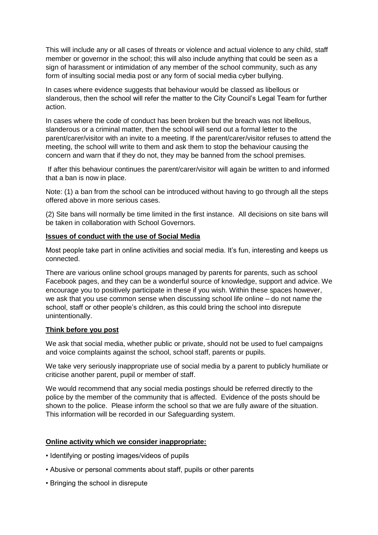This will include any or all cases of threats or violence and actual violence to any child, staff member or governor in the school; this will also include anything that could be seen as a sign of harassment or intimidation of any member of the school community, such as any form of insulting social media post or any form of social media cyber bullying.

In cases where evidence suggests that behaviour would be classed as libellous or slanderous, then the school will refer the matter to the City Council's Legal Team for further action.

In cases where the code of conduct has been broken but the breach was not libellous, slanderous or a criminal matter, then the school will send out a formal letter to the parent/carer/visitor with an invite to a meeting. If the parent/carer/visitor refuses to attend the meeting, the school will write to them and ask them to stop the behaviour causing the concern and warn that if they do not, they may be banned from the school premises.

If after this behaviour continues the parent/carer/visitor will again be written to and informed that a ban is now in place.

Note: (1) a ban from the school can be introduced without having to go through all the steps offered above in more serious cases.

(2) Site bans will normally be time limited in the first instance. All decisions on site bans will be taken in collaboration with School Governors.

#### **Issues of conduct with the use of Social Media**

Most people take part in online activities and social media. It's fun, interesting and keeps us connected.

There are various online school groups managed by parents for parents, such as school Facebook pages, and they can be a wonderful source of knowledge, support and advice. We encourage you to positively participate in these if you wish. Within these spaces however, we ask that you use common sense when discussing school life online – do not name the school, staff or other people's children, as this could bring the school into disrepute unintentionally.

#### **Think before you post**

We ask that social media, whether public or private, should not be used to fuel campaigns and voice complaints against the school, school staff, parents or pupils.

We take very seriously inappropriate use of social media by a parent to publicly humiliate or criticise another parent, pupil or member of staff.

We would recommend that any social media postings should be referred directly to the police by the member of the community that is affected. Evidence of the posts should be shown to the police. Please inform the school so that we are fully aware of the situation. This information will be recorded in our Safeguarding system.

#### **Online activity which we consider inappropriate:**

- Identifying or posting images/videos of pupils
- Abusive or personal comments about staff, pupils or other parents
- Bringing the school in disrepute